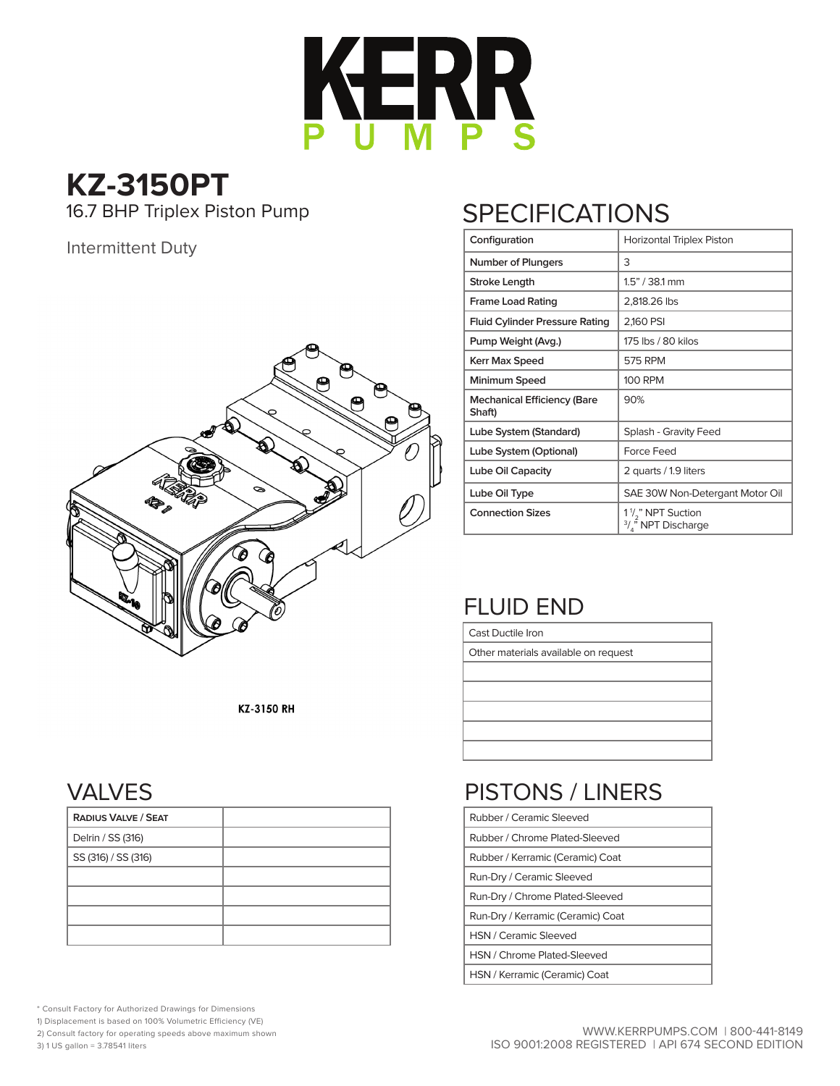

**KZ-3150PT** 16.7 BHP Triplex Piston Pump

#### Intermittent Duty



KZ-3150 RH

#### VALVES

| <b>RADIUS VALVE / SEAT</b> |  |
|----------------------------|--|
| Delrin / SS (316)          |  |
| SS (316) / SS (316)        |  |
|                            |  |
|                            |  |
|                            |  |
|                            |  |

\* Consult Factory for Authorized Drawings for Dimensions

1) Displacement is based on 100% Volumetric Efficiency (VE)

2) Consult factory for operating speeds above maximum shown

3) 1 US gallon = 3.78541 liters

# **SPECIFICATIONS**

| Configuration                                | Horizontal Triplex Piston                                                               |
|----------------------------------------------|-----------------------------------------------------------------------------------------|
| <b>Number of Plungers</b>                    | 3                                                                                       |
| Stroke Length                                | 1.5" / 38.1 mm                                                                          |
| <b>Frame Load Rating</b>                     | 2,818.26 lbs                                                                            |
| <b>Fluid Cylinder Pressure Rating</b>        | 2,160 PSI                                                                               |
| Pump Weight (Avg.)                           | 175 lbs / 80 kilos                                                                      |
| <b>Kerr Max Speed</b>                        | <b>575 RPM</b>                                                                          |
| Minimum Speed                                | <b>100 RPM</b>                                                                          |
| <b>Mechanical Efficiency (Bare</b><br>Shaft) | 90%                                                                                     |
| Lube System (Standard)                       | Splash - Gravity Feed                                                                   |
| Lube System (Optional)                       | <b>Force Feed</b>                                                                       |
| Lube Oil Capacity                            | 2 quarts / 1.9 liters                                                                   |
| Lube Oil Type                                | SAE 30W Non-Detergant Motor Oil                                                         |
| <b>Connection Sizes</b>                      | 1 <sup>1</sup> / <sub>2</sub> " NPT Suction<br>$\frac{3}{4}$ <sup>5</sup> NPT Discharge |

### FLUID END

Cast Ductile Iron

Other materials available on request

# PISTONS / LINERS

| Rubber / Ceramic Sleeved          |
|-----------------------------------|
| Rubber / Chrome Plated-Sleeved    |
| Rubber / Kerramic (Ceramic) Coat  |
| Run-Dry / Ceramic Sleeved         |
| Run-Dry / Chrome Plated-Sleeved   |
| Run-Dry / Kerramic (Ceramic) Coat |
| <b>HSN / Ceramic Sleeved</b>      |
| HSN / Chrome Plated-Sleeved       |
| HSN / Kerramic (Ceramic) Coat     |
|                                   |